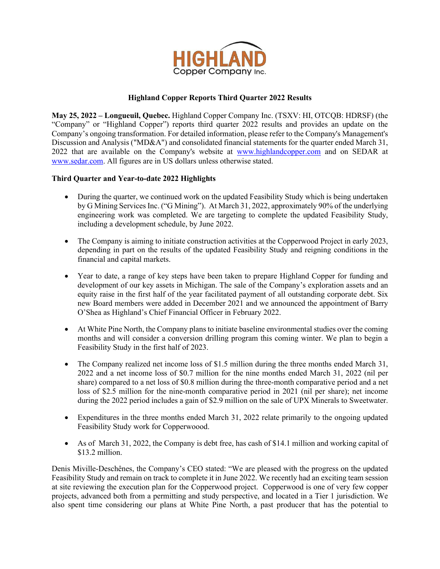

# **Highland Copper Reports Third Quarter 2022 Results**

**May 25, 2022 – Longueuil, Quebec.** Highland Copper Company Inc. (TSXV: HI, OTCQB: HDRSF) (the "Company" or "Highland Copper") reports third quarter 2022 results and provides an update on the Company's ongoing transformation. For detailed information, please refer to the Company's Management's Discussion and Analysis ("MD&A") and consolidated financial statements for the quarter ended March 31, 2022 that are available on the Company's website at [www.highlandcopper.com](http://www.highlandcopper.com/) and on SEDAR at [www.sedar.com.](http://www.sedar.com/) All figures are in US dollars unless otherwise stated.

# **Third Quarter and Year-to-date 2022 Highlights**

- During the quarter, we continued work on the updated Feasibility Study which is being undertaken by G Mining Services Inc. ("G Mining"). At March 31, 2022, approximately 90% of the underlying engineering work was completed. We are targeting to complete the updated Feasibility Study, including a development schedule, by June 2022.
- The Company is aiming to initiate construction activities at the Copperwood Project in early 2023, depending in part on the results of the updated Feasibility Study and reigning conditions in the financial and capital markets.
- Year to date, a range of key steps have been taken to prepare Highland Copper for funding and development of our key assets in Michigan. The sale of the Company's exploration assets and an equity raise in the first half of the year facilitated payment of all outstanding corporate debt. Six new Board members were added in December 2021 and we announced the appointment of Barry O'Shea as Highland's Chief Financial Officer in February 2022.
- At White Pine North, the Company plans to initiate baseline environmental studies over the coming months and will consider a conversion drilling program this coming winter. We plan to begin a Feasibility Study in the first half of 2023.
- The Company realized net income loss of \$1.5 million during the three months ended March 31, 2022 and a net income loss of \$0.7 million for the nine months ended March 31, 2022 (nil per share) compared to a net loss of \$0.8 million during the three-month comparative period and a net loss of \$2.5 million for the nine-month comparative period in 2021 (nil per share); net income during the 2022 period includes a gain of \$2.9 million on the sale of UPX Minerals to Sweetwater.
- Expenditures in the three months ended March 31, 2022 relate primarily to the ongoing updated Feasibility Study work for Copperwoood.
- As of March 31, 2022, the Company is debt free, has cash of \$14.1 million and working capital of \$13.2 million.

Denis Miville-Deschênes, the Company's CEO stated: "We are pleased with the progress on the updated Feasibility Study and remain on track to complete it in June 2022. We recently had an exciting team session at site reviewing the execution plan for the Copperwood project. Copperwood is one of very few copper projects, advanced both from a permitting and study perspective, and located in a Tier 1 jurisdiction. We also spent time considering our plans at White Pine North, a past producer that has the potential to